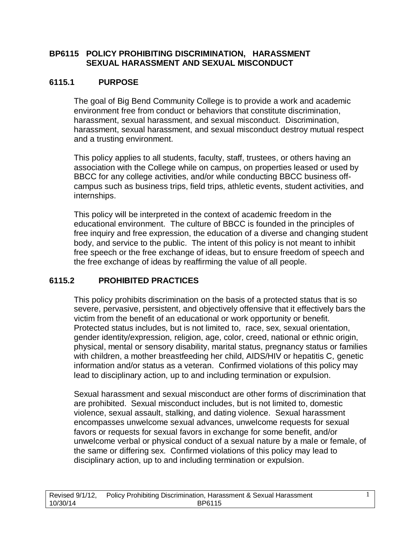## **BP6115 POLICY PROHIBITING DISCRIMINATION, HARASSMENT SEXUAL HARASSMENT AND SEXUAL MISCONDUCT**

## **6115.1 PURPOSE**

The goal of Big Bend Community College is to provide a work and academic environment free from conduct or behaviors that constitute discrimination, harassment, sexual harassment, and sexual misconduct. Discrimination, harassment, sexual harassment, and sexual misconduct destroy mutual respect and a trusting environment.

This policy applies to all students, faculty, staff, trustees, or others having an association with the College while on campus, on properties leased or used by BBCC for any college activities, and/or while conducting BBCC business offcampus such as business trips, field trips, athletic events, student activities, and internships.

This policy will be interpreted in the context of academic freedom in the educational environment. The culture of BBCC is founded in the principles of free inquiry and free expression, the education of a diverse and changing student body, and service to the public. The intent of this policy is not meant to inhibit free speech or the free exchange of ideas, but to ensure freedom of speech and the free exchange of ideas by reaffirming the value of all people.

## **6115.2 PROHIBITED PRACTICES**

This policy prohibits discrimination on the basis of a protected status that is so severe, pervasive, persistent, and objectively offensive that it effectively bars the victim from the benefit of an educational or work opportunity or benefit. Protected status includes, but is not limited to, race, sex, sexual orientation, gender identity/expression, religion, age, color, creed, national or ethnic origin, physical, mental or sensory disability, marital status, pregnancy status or families with children, a mother breastfeeding her child, AIDS/HIV or hepatitis C, genetic information and/or status as a veteran. Confirmed violations of this policy may lead to disciplinary action, up to and including termination or expulsion.

Sexual harassment and sexual misconduct are other forms of discrimination that are prohibited. Sexual misconduct includes, but is not limited to, domestic violence, sexual assault, stalking, and dating violence. Sexual harassment encompasses unwelcome sexual advances, unwelcome requests for sexual favors or requests for sexual favors in exchange for some benefit, and/or unwelcome verbal or physical conduct of a sexual nature by a male or female, of the same or differing sex. Confirmed violations of this policy may lead to disciplinary action, up to and including termination or expulsion.